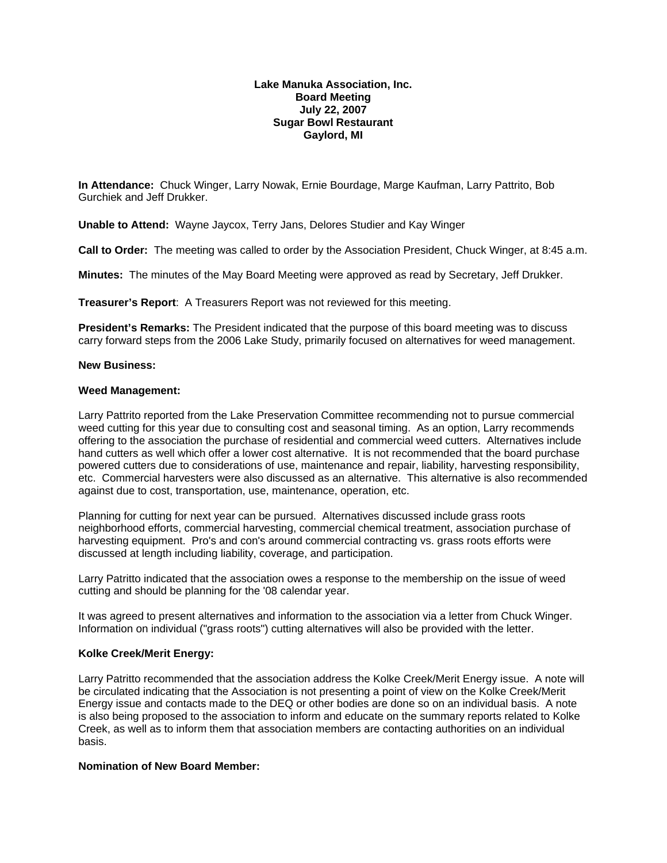## **Lake Manuka Association, Inc. Board Meeting July 22, 2007 Sugar Bowl Restaurant Gaylord, MI**

**In Attendance:** Chuck Winger, Larry Nowak, Ernie Bourdage, Marge Kaufman, Larry Pattrito, Bob Gurchiek and Jeff Drukker.

**Unable to Attend:** Wayne Jaycox, Terry Jans, Delores Studier and Kay Winger

**Call to Order:** The meeting was called to order by the Association President, Chuck Winger, at 8:45 a.m.

**Minutes:** The minutes of the May Board Meeting were approved as read by Secretary, Jeff Drukker.

**Treasurer's Report**: A Treasurers Report was not reviewed for this meeting.

**President's Remarks:** The President indicated that the purpose of this board meeting was to discuss carry forward steps from the 2006 Lake Study, primarily focused on alternatives for weed management.

## **New Business:**

## **Weed Management:**

Larry Pattrito reported from the Lake Preservation Committee recommending not to pursue commercial weed cutting for this year due to consulting cost and seasonal timing. As an option, Larry recommends offering to the association the purchase of residential and commercial weed cutters. Alternatives include hand cutters as well which offer a lower cost alternative. It is not recommended that the board purchase powered cutters due to considerations of use, maintenance and repair, liability, harvesting responsibility, etc. Commercial harvesters were also discussed as an alternative. This alternative is also recommended against due to cost, transportation, use, maintenance, operation, etc.

Planning for cutting for next year can be pursued. Alternatives discussed include grass roots neighborhood efforts, commercial harvesting, commercial chemical treatment, association purchase of harvesting equipment. Pro's and con's around commercial contracting vs. grass roots efforts were discussed at length including liability, coverage, and participation.

Larry Patritto indicated that the association owes a response to the membership on the issue of weed cutting and should be planning for the '08 calendar year.

It was agreed to present alternatives and information to the association via a letter from Chuck Winger. Information on individual ("grass roots") cutting alternatives will also be provided with the letter.

## **Kolke Creek/Merit Energy:**

Larry Patritto recommended that the association address the Kolke Creek/Merit Energy issue. A note will be circulated indicating that the Association is not presenting a point of view on the Kolke Creek/Merit Energy issue and contacts made to the DEQ or other bodies are done so on an individual basis. A note is also being proposed to the association to inform and educate on the summary reports related to Kolke Creek, as well as to inform them that association members are contacting authorities on an individual basis.

# **Nomination of New Board Member:**